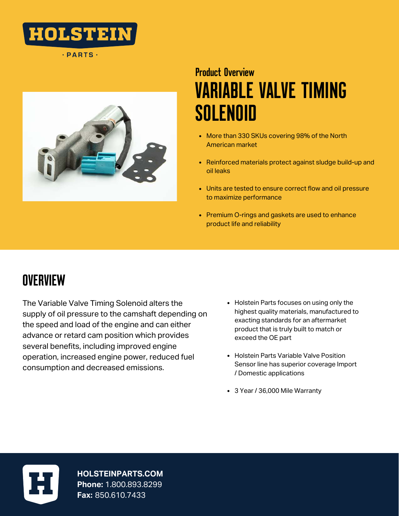

 $\cdot$  PARTS  $\cdot$ 



# VARIABLE VALVE TIMING SOLENOID Product Overview

- More than 330 SKUs covering 98% of the North American market
- Reinforced materials protect against sludge build-up and oil leaks
- Units are tested to ensure correct flow and oil pressure to maximize performance
- Premium O-rings and gaskets are used to enhance product life and reliability

## **OVERVIEW**

The Variable Valve Timing Solenoid alters the supply of oil pressure to the camshaft depending on the speed and load of the engine and can either advance or retard cam position which provides several benefits, including improved engine operation, increased engine power, reduced fuel consumption and decreased emissions.

- Holstein Parts focuses on using only the highest quality materials, manufactured to exacting standards for an aftermarket product that is truly built to match or exceed the OE part
- Holstein Parts Variable Valve Position Sensor line has superior coverage Import / Domestic applications
- 3 Year / 36,000 Mile Warranty



**HOLSTEINPARTS.COM Phone:** 1.800.893.8299 **Fax:** 850.610.7433